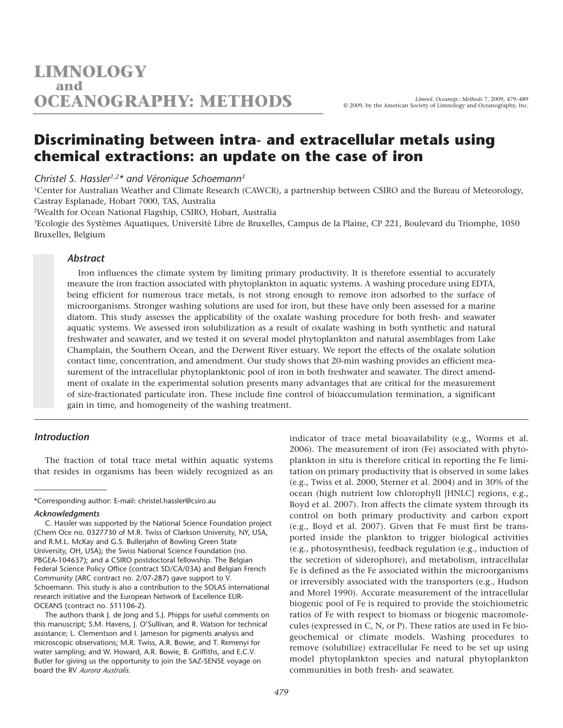# **Discriminating between intra- and extracellular metals using chemical extractions: an update on the case of iron**

*Christel S. Hassler1,2\* and Véronique Schoemann3*

<sup>1</sup>Center for Australian Weather and Climate Research (CAWCR), a partnership between CSIRO and the Bureau of Meteorology, Castray Esplanade, Hobart 7000, TAS, Australia

2Wealth for Ocean National Flagship, CSIRO, Hobart, Australia

3Ecologie des Systèmes Aquatiques, Université Libre de Bruxelles, Campus de la Plaine, CP 221, Boulevard du Triomphe, 1050 Bruxelles, Belgium

# *Abstract*

Iron influences the climate system by limiting primary productivity. It is therefore essential to accurately measure the iron fraction associated with phytoplankton in aquatic systems. A washing procedure using EDTA, being efficient for numerous trace metals, is not strong enough to remove iron adsorbed to the surface of microorganisms. Stronger washing solutions are used for iron, but these have only been assessed for a marine diatom. This study assesses the applicability of the oxalate washing procedure for both fresh- and seawater aquatic systems. We assessed iron solubilization as a result of oxalate washing in both synthetic and natural freshwater and seawater, and we tested it on several model phytoplankton and natural assemblages from Lake Champlain, the Southern Ocean, and the Derwent River estuary. We report the effects of the oxalate solution contact time, concentration, and amendment. Our study shows that 20-min washing provides an efficient measurement of the intracellular phytoplanktonic pool of iron in both freshwater and seawater. The direct amendment of oxalate in the experimental solution presents many advantages that are critical for the measurement of size-fractionated particulate iron. These include fine control of bioaccumulation termination, a significant gain in time, and homogeneity of the washing treatment.

## *Introduction*

The fraction of total trace metal within aquatic systems that resides in organisms has been widely recognized as an

\*Corresponding author: E-mail: christel.hassler@csiro.au

indicator of trace metal bioavailability (e.g., Worms et al. 2006). The measurement of iron (Fe) associated with phytoplankton in situ is therefore critical in reporting the Fe limitation on primary productivity that is observed in some lakes (e.g., Twiss et al. 2000, Sterner et al. 2004) and in 30% of the ocean (high nutrient low chlorophyll [HNLC] regions, e.g., Boyd et al. 2007). Iron affects the climate system through its control on both primary productivity and carbon export (e.g., Boyd et al. 2007). Given that Fe must first be transported inside the plankton to trigger biological activities (e.g., photosynthesis), feedback regulation (e.g., induction of the secretion of siderophore), and metabolism, intracellular Fe is defined as the Fe associated within the microorganisms or irreversibly associated with the transporters (e.g., Hudson and Morel 1990). Accurate measurement of the intracellular biogenic pool of Fe is required to provide the stoichiometric ratios of Fe with respect to biomass or biogenic macromolecules (expressed in C, N, or P). These ratios are used in Fe biogeochemical or climate models. Washing procedures to remove (solubilize) extracellular Fe need to be set up using model phytoplankton species and natural phytoplankton communities in both fresh- and seawater.

*Acknowledgments*

C. Hassler was supported by the National Science Foundation project (Chem Oce no. 0327730 of M.R. Twiss of Clarkson University, NY, USA, and R.M.L. McKay and G.S. Bullerjahn of Bowling Green State University, OH, USA); the Swiss National Science Foundation (no. PBGEA-104637); and a CSIRO postdoctoral fellowship. The Belgian Federal Science Policy Office (contract SD/CA/03A) and Belgian French Community (ARC contract no. 2/07-287) gave support to V. Schoemann. This study is also a contribution to the SOLAS international research initiative and the European Network of Excellence EUR-OCEANS (contract no. 511106-2).

The authors thank J. de Jong and S.J. Phipps for useful comments on this manuscript; S.M. Havens, J. O'Sullivan, and R. Watson for technical assistance; L. Clementson and I. Jameson for pigments analysis and microscopic observations; M.R. Twiss, A.R. Bowie, and T. Remenyi for water sampling; and W. Howard, A.R. Bowie, B. Griffiths, and E.C.V. Butler for giving us the opportunity to join the SAZ-SENSE voyage on board the RV *Aurora Australis*.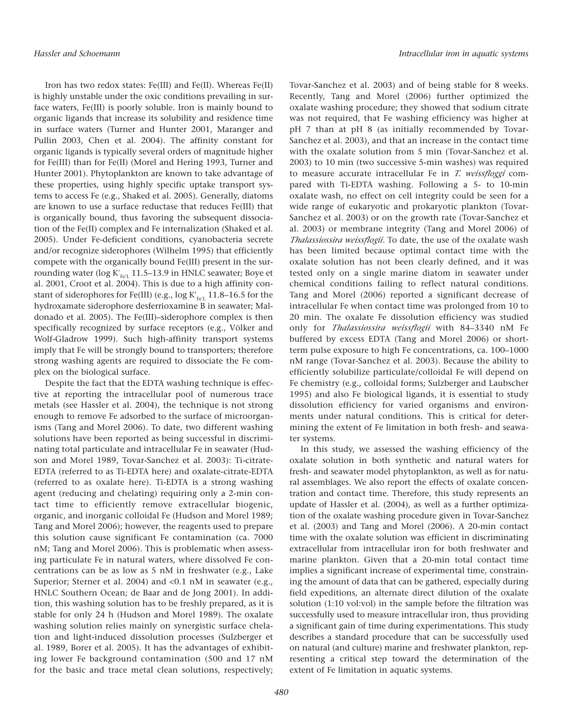Iron has two redox states: Fe(III) and Fe(II). Whereas Fe(II) is highly unstable under the oxic conditions prevailing in surface waters, Fe(III) is poorly soluble. Iron is mainly bound to organic ligands that increase its solubility and residence time in surface waters (Turner and Hunter 2001, Maranger and Pullin 2003, Chen et al. 2004). The affinity constant for organic ligands is typically several orders of magnitude higher for Fe(III) than for Fe(II) (Morel and Hering 1993, Turner and Hunter 2001). Phytoplankton are known to take advantage of these properties, using highly specific uptake transport systems to access Fe (e.g., Shaked et al. 2005). Generally, diatoms are known to use a surface reductase that reduces Fe(III) that is organically bound, thus favoring the subsequent dissociation of the Fe(II) complex and Fe internalization (Shaked et al. 2005). Under Fe-deficient conditions, cyanobacteria secrete and/or recognize siderophores (Wilhelm 1995) that efficiently compete with the organically bound Fe(III) present in the surrounding water (log K′ Fe′<sup>L</sup> 11.5–13.9 in HNLC seawater; Boye et al. 2001, Croot et al. 2004). This is due to a high affinity constant of siderophores for Fe(III) (e.g.,  $\log K'_{\rm FeT}$  11.8–16.5 for the hydroxamate siderophore desferrioxamine B in seawater; Maldonado et al. 2005). The Fe(III)–siderophore complex is then specifically recognized by surface receptors (e.g., Völker and Wolf-Gladrow 1999). Such high-affinity transport systems imply that Fe will be strongly bound to transporters; therefore strong washing agents are required to dissociate the Fe complex on the biological surface.

Despite the fact that the EDTA washing technique is effective at reporting the intracellular pool of numerous trace metals (see Hassler et al. 2004), the technique is not strong enough to remove Fe adsorbed to the surface of microorganisms (Tang and Morel 2006). To date, two different washing solutions have been reported as being successful in discriminating total particulate and intracellular Fe in seawater (Hudson and Morel 1989, Tovar-Sanchez et al. 2003): Ti-citrate-EDTA (referred to as Ti-EDTA here) and oxalate-citrate-EDTA (referred to as oxalate here). Ti-EDTA is a strong washing agent (reducing and chelating) requiring only a 2-min contact time to efficiently remove extracellular biogenic, organic, and inorganic colloidal Fe (Hudson and Morel 1989; Tang and Morel 2006); however, the reagents used to prepare this solution cause significant Fe contamination (ca. 7000 nM; Tang and Morel 2006). This is problematic when assessing particulate Fe in natural waters, where dissolved Fe concentrations can be as low as 5 nM in freshwater (e.g., Lake Superior; Sterner et al. 2004) and <0.1 nM in seawater (e.g., HNLC Southern Ocean; de Baar and de Jong 2001). In addition, this washing solution has to be freshly prepared, as it is stable for only 24 h (Hudson and Morel 1989). The oxalate washing solution relies mainly on synergistic surface chelation and light-induced dissolution processes (Sulzberger et al. 1989, Borer et al. 2005). It has the advantages of exhibiting lower Fe background contamination (500 and 17 nM for the basic and trace metal clean solutions, respectively; Tovar-Sanchez et al. 2003) and of being stable for 8 weeks. Recently, Tang and Morel (2006) further optimized the oxalate washing procedure; they showed that sodium citrate was not required, that Fe washing efficiency was higher at pH 7 than at pH 8 (as initially recommended by Tovar-Sanchez et al. 2003), and that an increase in the contact time with the oxalate solution from 5 min (Tovar-Sanchez et al. 2003) to 10 min (two successive 5-min washes) was required to measure accurate intracellular Fe in *T. weissfloggi* compared with Ti-EDTA washing. Following a 5- to 10-min oxalate wash, no effect on cell integrity could be seen for a wide range of eukaryotic and prokaryotic plankton (Tovar-Sanchez et al. 2003) or on the growth rate (Tovar-Sanchez et al. 2003) or membrane integrity (Tang and Morel 2006) of *Thalassiossira weissflogii*. To date, the use of the oxalate wash has been limited because optimal contact time with the oxalate solution has not been clearly defined, and it was tested only on a single marine diatom in seawater under chemical conditions failing to reflect natural conditions. Tang and Morel (2006) reported a significant decrease of intracellular Fe when contact time was prolonged from 10 to 20 min. The oxalate Fe dissolution efficiency was studied only for *Thalassiossira weissflogii* with 84–3340 nM Fe buffered by excess EDTA (Tang and Morel 2006) or shortterm pulse exposure to high Fe concentrations, ca. 100–1000 nM range (Tovar-Sanchez et al. 2003). Because the ability to efficiently solubilize particulate/colloidal Fe will depend on Fe chemistry (e.g., colloidal forms; Sulzberger and Laubscher 1995) and also Fe biological ligands, it is essential to study dissolution efficiency for varied organisms and environments under natural conditions. This is critical for determining the extent of Fe limitation in both fresh- and seawater systems.

In this study, we assessed the washing efficiency of the oxalate solution in both synthetic and natural waters for fresh- and seawater model phytoplankton, as well as for natural assemblages. We also report the effects of oxalate concentration and contact time. Therefore, this study represents an update of Hassler et al. (2004), as well as a further optimization of the oxalate washing procedure given in Tovar-Sanchez et al. (2003) and Tang and Morel (2006). A 20-min contact time with the oxalate solution was efficient in discriminating extracellular from intracellular iron for both freshwater and marine plankton. Given that a 20-min total contact time implies a significant increase of experimental time, constraining the amount of data that can be gathered, especially during field expeditions, an alternate direct dilution of the oxalate solution (1:10 vol:vol) in the sample before the filtration was successfully used to measure intracellular iron, thus providing a significant gain of time during experimentations. This study describes a standard procedure that can be successfully used on natural (and culture) marine and freshwater plankton, representing a critical step toward the determination of the extent of Fe limitation in aquatic systems.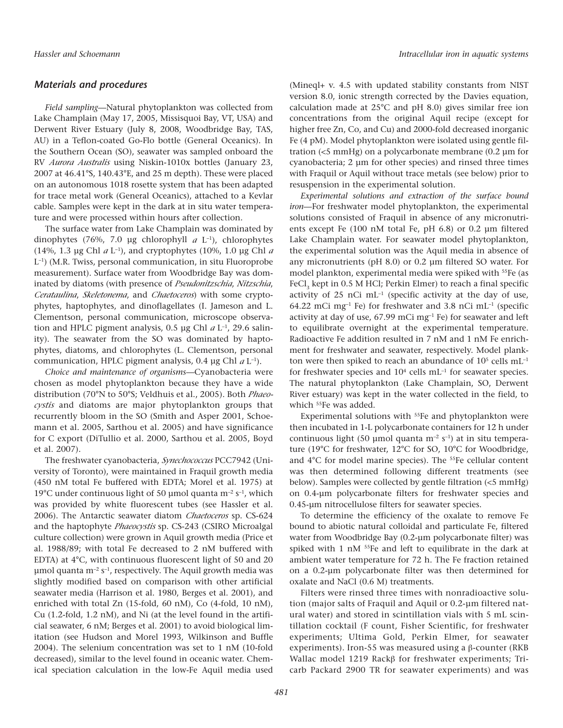## *Materials and procedures*

*Field sampling—*Natural phytoplankton was collected from Lake Champlain (May 17, 2005, Missisquoi Bay, VT, USA) and Derwent River Estuary (July 8, 2008, Woodbridge Bay, TAS, AU) in a Teflon-coated Go-Flo bottle (General Oceanics). In the Southern Ocean (SO), seawater was sampled onboard the RV *Aurora Australis* using Niskin-1010x bottles (January 23, 2007 at 46.41°S, 140.43°E, and 25 m depth). These were placed on an autonomous 1018 rosette system that has been adapted for trace metal work (General Oceanics), attached to a Kevlar cable. Samples were kept in the dark at in situ water temperature and were processed within hours after collection.

The surface water from Lake Champlain was dominated by dinophytes (76%, 7.0 µg chlorophyll *<sup>a</sup>* L–1), chlorophytes (14%, 1.3 µg Chl *<sup>a</sup>* L–1), and cryptophytes (10%, 1.0 µg Chl *<sup>a</sup>* L–1) (M.R. Twiss, personal communication, in situ Fluoroprobe measurement). Surface water from Woodbridge Bay was dominated by diatoms (with presence of *Pseudonitzschia*, *Nitzschia*, *Cerataulina*, *Skeletonema*, and *Chaetoceros*) with some cryptophytes, haptophytes, and dinoflagellates (I. Jameson and L. Clementson, personal communication, microscope observation and HPLC pigment analysis, 0.5 µg Chl *a* L<sup>-1</sup>, 29.6 salinity). The seawater from the SO was dominated by haptophytes, diatoms, and chlorophytes (L. Clementson, personal communication, HPLC pigment analysis, 0.4 µg Chl *<sup>a</sup>* L–1).

*Choice and maintenance of organisms—*Cyanobacteria were chosen as model phytoplankton because they have a wide distribution (70°N to 50°S; Veldhuis et al., 2005). Both *Phaeocystis* and diatoms are major phytoplankton groups that recurrently bloom in the SO (Smith and Asper 2001, Schoemann et al. 2005, Sarthou et al. 2005) and have significance for C export (DiTullio et al. 2000, Sarthou et al. 2005, Boyd et al. 2007).

The freshwater cyanobacteria, *Synechococcus* PCC7942 (University of Toronto), were maintained in Fraquil growth media (450 nM total Fe buffered with EDTA; Morel et al. 1975) at 19°C under continuous light of 50 µmol quanta  $m^{-2} s^{-1}$ , which was provided by white fluorescent tubes (see Hassler et al. 2006). The Antarctic seawater diatom *Chaetoceros* sp. CS-624 and the haptophyte *Phaeocystis* sp. CS-243 (CSIRO Microalgal culture collection) were grown in Aquil growth media (Price et al. 1988/89; with total Fe decreased to 2 nM buffered with EDTA) at 4°C, with continuous fluorescent light of 50 and 20 µmol quanta  $m^{-2}$  s<sup>-1</sup>, respectively. The Aquil growth media was slightly modified based on comparison with other artificial seawater media (Harrison et al. 1980, Berges et al. 2001), and enriched with total Zn (15-fold, 60 nM), Co (4-fold, 10 nM), Cu (1.2-fold, 1.2 nM), and Ni (at the level found in the artificial seawater, 6 nM; Berges et al. 2001) to avoid biological limitation (see Hudson and Morel 1993, Wilkinson and Buffle 2004). The selenium concentration was set to 1 nM (10-fold decreased), similar to the level found in oceanic water. Chemical speciation calculation in the low-Fe Aquil media used (Mineql+ v. 4.5 with updated stability constants from NIST version 8.0, ionic strength corrected by the Davies equation, calculation made at 25°C and pH 8.0) gives similar free ion concentrations from the original Aquil recipe (except for higher free Zn, Co, and Cu) and 2000-fold decreased inorganic Fe (4 pM). Model phytoplankton were isolated using gentle filtration (<5 mmHg) on a polycarbonate membrane (0.2 µm for cyanobacteria; 2 µm for other species) and rinsed three times with Fraquil or Aquil without trace metals (see below) prior to resuspension in the experimental solution.

*Experimental solutions and extraction of the surface bound iron—*For freshwater model phytoplankton, the experimental solutions consisted of Fraquil in absence of any micronutrients except Fe (100 nM total Fe, pH 6.8) or 0.2 µm filtered Lake Champlain water. For seawater model phytoplankton, the experimental solution was the Aquil media in absence of any micronutrients (pH 8.0) or 0.2 µm filtered SO water. For model plankton, experimental media were spiked with 55Fe (as FeCl<sub>3</sub> kept in 0.5 M HCl; Perkin Elmer) to reach a final specific activity of  $25$  nCi mL<sup>-1</sup> (specific activity at the day of use, 64.22 mCi mg<sup>-1</sup> Fe) for freshwater and 3.8 nCi mL<sup>-1</sup> (specific activity at day of use,  $67.99$  mCi mg<sup>-1</sup> Fe) for seawater and left to equilibrate overnight at the experimental temperature. Radioactive Fe addition resulted in 7 nM and 1 nM Fe enrichment for freshwater and seawater, respectively. Model plankton were then spiked to reach an abundance of  $10<sup>5</sup>$  cells  $mL^{-1}$ for freshwater species and  $10<sup>4</sup>$  cells mL<sup>-1</sup> for seawater species. The natural phytoplankton (Lake Champlain, SO, Derwent River estuary) was kept in the water collected in the field, to which 55Fe was added.

Experimental solutions with 55Fe and phytoplankton were then incubated in 1-L polycarbonate containers for 12 h under continuous light (50 µmol quanta m<sup>-2</sup> s<sup>-1</sup>) at in situ temperature (19°C for freshwater, 12°C for SO, 10°C for Woodbridge, and 4°C for model marine species). The <sup>55</sup>Fe cellular content was then determined following different treatments (see below). Samples were collected by gentle filtration (<5 mmHg) on 0.4-µm polycarbonate filters for freshwater species and 0.45-µm nitrocellulose filters for seawater species.

To determine the efficiency of the oxalate to remove Fe bound to abiotic natural colloidal and particulate Fe, filtered water from Woodbridge Bay (0.2-µm polycarbonate filter) was spiked with 1 nM 55Fe and left to equilibrate in the dark at ambient water temperature for 72 h. The Fe fraction retained on a 0.2-µm polycarbonate filter was then determined for oxalate and NaCl (0.6 M) treatments.

Filters were rinsed three times with nonradioactive solution (major salts of Fraquil and Aquil or 0.2-µm filtered natural water) and stored in scintillation vials with 5 mL scintillation cocktail (F count, Fisher Scientific, for freshwater experiments; Ultima Gold, Perkin Elmer, for seawater experiments). Iron-55 was measured using a β-counter (RKB Wallac model 1219 Rackβ for freshwater experiments; Tricarb Packard 2900 TR for seawater experiments) and was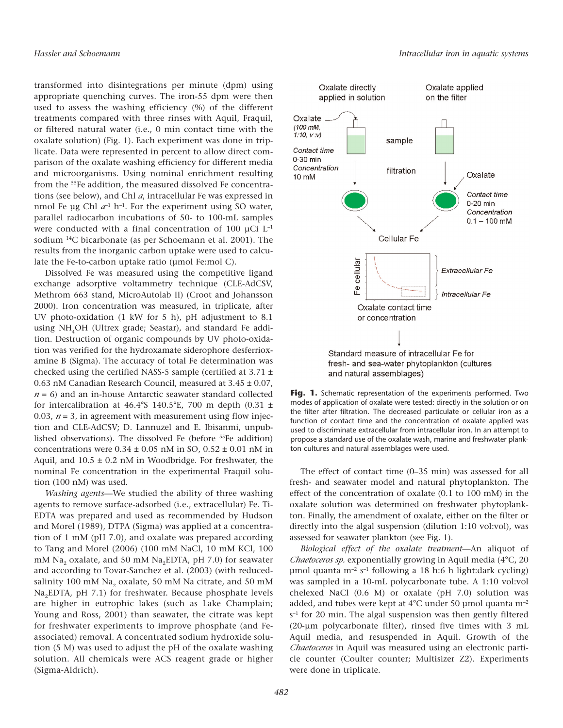transformed into disintegrations per minute (dpm) using appropriate quenching curves. The iron-55 dpm were then used to assess the washing efficiency (%) of the different treatments compared with three rinses with Aquil, Fraquil, or filtered natural water (i.e., 0 min contact time with the oxalate solution) (Fig. 1). Each experiment was done in triplicate. Data were represented in percent to allow direct comparison of the oxalate washing efficiency for different media and microorganisms. Using nominal enrichment resulting from the 55Fe addition, the measured dissolved Fe concentrations (see below), and Chl *a*, intracellular Fe was expressed in nmol Fe µg Chl  $a^{-1}$  h<sup>-1</sup>. For the experiment using SO water, parallel radiocarbon incubations of 50- to 100-mL samples were conducted with a final concentration of 100  $\mu$ Ci L<sup>-1</sup> sodium 14C bicarbonate (as per Schoemann et al. 2001). The results from the inorganic carbon uptake were used to calculate the Fe-to-carbon uptake ratio (µmol Fe:mol C).

Dissolved Fe was measured using the competitive ligand exchange adsorptive voltammetry technique (CLE-AdCSV, Methrom 663 stand, MicroAutolab II) (Croot and Johansson 2000). Iron concentration was measured, in triplicate, after UV photo-oxidation (1 kW for 5 h), pH adjustment to 8.1 using NH<sub>4</sub>OH (Ultrex grade; Seastar), and standard Fe addition. Destruction of organic compounds by UV photo-oxidation was verified for the hydroxamate siderophore desferrioxamine B (Sigma). The accuracy of total Fe determination was checked using the certified NASS-5 sample (certified at 3.71 ± 0.63 nM Canadian Research Council, measured at 3.45 ± 0.07,  $n = 6$ ) and an in-house Antarctic seawater standard collected for intercalibration at 46.4°S 140.5°E, 700 m depth (0.31  $\pm$ 0.03,  $n = 3$ , in agreement with measurement using flow injection and CLE-AdCSV; D. Lannuzel and E. Ibisanmi, unpublished observations). The dissolved Fe (before 55Fe addition) concentrations were  $0.34 \pm 0.05$  nM in SO,  $0.52 \pm 0.01$  nM in Aquil, and  $10.5 \pm 0.2$  nM in Woodbridge. For freshwater, the nominal Fe concentration in the experimental Fraquil solution (100 nM) was used.

*Washing agents—*We studied the ability of three washing agents to remove surface-adsorbed (i.e., extracellular) Fe. Ti-EDTA was prepared and used as recommended by Hudson and Morel (1989), DTPA (Sigma) was applied at a concentration of 1 mM (pH 7.0), and oxalate was prepared according to Tang and Morel (2006) (100 mM NaCl, 10 mM KCl, 100 mM Na<sub>2</sub> oxalate, and 50 mM Na<sub>2</sub>EDTA, pH 7.0) for seawater and according to Tovar-Sanchez et al. (2003) (with reducedsalinity 100 mM Na<sub>2</sub> oxalate, 50 mM Na citrate, and 50 mM Na<sub>2</sub>EDTA, pH 7.1) for freshwater. Because phosphate levels are higher in eutrophic lakes (such as Lake Champlain; Young and Ross, 2001) than seawater, the citrate was kept for freshwater experiments to improve phosphate (and Feassociated) removal. A concentrated sodium hydroxide solution (5 M) was used to adjust the pH of the oxalate washing solution. All chemicals were ACS reagent grade or higher (Sigma-Aldrich).



Fig. 1. Schematic representation of the experiments performed. Two modes of application of oxalate were tested: directly in the solution or on the filter after filtration. The decreased particulate or cellular iron as a function of contact time and the concentration of oxalate applied was used to discriminate extracellular from intracellular iron. In an attempt to propose a standard use of the oxalate wash, marine and freshwater plankton cultures and natural assemblages were used.

The effect of contact time (0–35 min) was assessed for all fresh- and seawater model and natural phytoplankton. The effect of the concentration of oxalate (0.1 to 100 mM) in the oxalate solution was determined on freshwater phytoplankton. Finally, the amendment of oxalate, either on the filter or directly into the algal suspension (dilution 1:10 vol:vol), was assessed for seawater plankton (see Fig. 1).

*Biological effect of the oxalate treatment—*An aliquot of *Chaetoceros sp.* exponentially growing in Aquil media (4°C, 20 µmol quanta m<sup>-2</sup> s<sup>-1</sup> following a 18 h:6 h light:dark cycling) was sampled in a 10-mL polycarbonate tube. A 1:10 vol:vol chelexed NaCl (0.6 M) or oxalate (pH 7.0) solution was added, and tubes were kept at  $4^{\circ}$ C under 50 µmol quanta m<sup>-2</sup> s–1 for 20 min. The algal suspension was then gently filtered (20-µm polycarbonate filter), rinsed five times with 3 mL Aquil media, and resuspended in Aquil. Growth of the *Chaetoceros* in Aquil was measured using an electronic particle counter (Coulter counter; Multisizer Z2). Experiments were done in triplicate.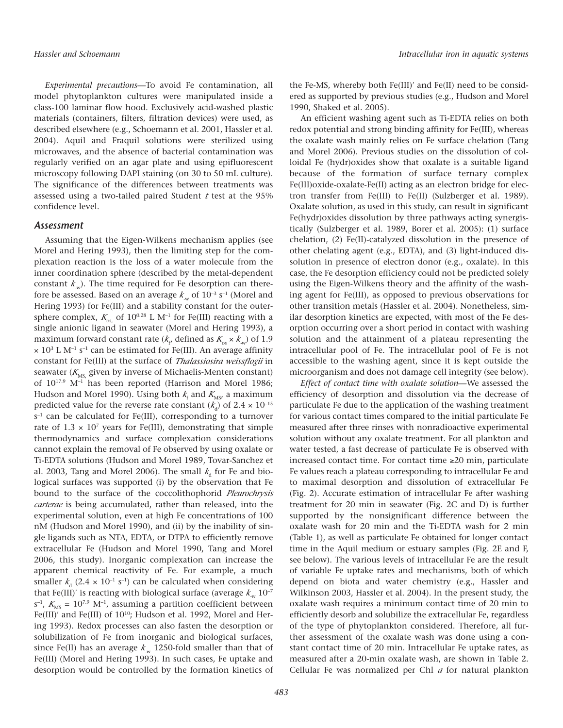*Experimental precautions—*To avoid Fe contamination, all model phytoplankton cultures were manipulated inside a class-100 laminar flow hood. Exclusively acid-washed plastic materials (containers, filters, filtration devices) were used, as described elsewhere (e.g., Schoemann et al. 2001, Hassler et al. 2004). Aquil and Fraquil solutions were sterilized using microwaves, and the absence of bacterial contamination was regularly verified on an agar plate and using epifluorescent microscopy following DAPI staining (on 30 to 50 mL culture). The significance of the differences between treatments was assessed using a two-tailed paired Student *<sup>t</sup>* test at the 95% confidence level.

#### *Assessment*

Assuming that the Eigen-Wilkens mechanism applies (see Morel and Hering 1993), then the limiting step for the complexation reaction is the loss of a water molecule from the inner coordination sphere (described by the metal-dependent constant  $k_{w}$ ). The time required for Fe desorption can therefore be assessed. Based on an average  $k_{\rm w}$  of  $10^{-3}$  s<sup>-1</sup> (Morel and Hering 1993) for Fe(III) and a stability constant for the outersphere complex,  $K_{\text{os}}$  of  $10^{0.28}$  L M<sup>-1</sup> for Fe(III) reacting with a single anionic ligand in seawater (Morel and Hering 1993), a maximum forward constant rate ( $k_{\rm p}$ , defined as  $K_{\rm os} \times k_{\rm av}$ ) of 1.9  $\times$  10<sup>3</sup> L M<sup>-1</sup> s<sup>-1</sup> can be estimated for Fe(III). An average affinity constant for Fe(III) at the surface of *Thalassiosira weissflogii* in seawater ( $K_{\text{MS}}$  given by inverse of Michaelis-Menten constant) of 1017.9 M–1 has been reported (Harrison and Morel 1986; Hudson and Morel 1990). Using both  $k_f$  and  $K_{\text{MS}}$  a maximum predicted value for the reverse rate constant  $(k_d)$  of 2.4  $\times$  10<sup>-15</sup>  $s^{-1}$  can be calculated for Fe(III), corresponding to a turnover rate of  $1.3 \times 10^7$  years for Fe(III), demonstrating that simple thermodynamics and surface complexation considerations cannot explain the removal of Fe observed by using oxalate or Ti-EDTA solutions (Hudson and Morel 1989, Tovar-Sanchez et al. 2003, Tang and Morel 2006). The small  $k<sub>d</sub>$  for Fe and biological surfaces was supported (i) by the observation that Fe bound to the surface of the coccolithophorid *Pleurochrysis carterae* is being accumulated, rather than released, into the experimental solution, even at high Fe concentrations of 100 nM (Hudson and Morel 1990), and (ii) by the inability of single ligands such as NTA, EDTA, or DTPA to efficiently remove extracellular Fe (Hudson and Morel 1990, Tang and Morel 2006, this study). Inorganic complexation can increase the apparent chemical reactivity of Fe. For example, a much smaller  $k_A$  (2.4 × 10<sup>-1</sup> s<sup>-1</sup>) can be calculated when considering that Fe(III)<sup>'</sup> is reacting with biological surface (average  $k_{\rm w}$  10<sup>-7</sup>  $s^{-1}$ ,  $K_{\text{MS}} = 10^{7.9}$  M<sup>-1</sup>, assuming a partition coefficient between Fe(III)' and Fe(III) of 10<sup>10</sup>; Hudson et al. 1992, Morel and Hering 1993). Redox processes can also fasten the desorption or solubilization of Fe from inorganic and biological surfaces, since Fe(II) has an average  $k_{\text{av}}$  1250-fold smaller than that of Fe(III) (Morel and Hering 1993). In such cases, Fe uptake and desorption would be controlled by the formation kinetics of the Fe-MS, whereby both Fe(III)′ and Fe(II) need to be considered as supported by previous studies (e.g., Hudson and Morel 1990, Shaked et al. 2005).

An efficient washing agent such as Ti-EDTA relies on both redox potential and strong binding affinity for Fe(III), whereas the oxalate wash mainly relies on Fe surface chelation (Tang and Morel 2006). Previous studies on the dissolution of colloidal Fe (hydr)oxides show that oxalate is a suitable ligand because of the formation of surface ternary complex Fe(III)oxide-oxalate-Fe(II) acting as an electron bridge for electron transfer from Fe(III) to Fe(II) (Sulzberger et al. 1989). Oxalate solution, as used in this study, can result in significant Fe(hydr)oxides dissolution by three pathways acting synergistically (Sulzberger et al. 1989, Borer et al. 2005): (1) surface chelation, (2) Fe(II)-catalyzed dissolution in the presence of other chelating agent (e.g., EDTA), and (3) light-induced dissolution in presence of electron donor (e.g., oxalate). In this case, the Fe desorption efficiency could not be predicted solely using the Eigen-Wilkens theory and the affinity of the washing agent for Fe(III), as opposed to previous observations for other transition metals (Hassler et al. 2004). Nonetheless, similar desorption kinetics are expected, with most of the Fe desorption occurring over a short period in contact with washing solution and the attainment of a plateau representing the intracellular pool of Fe. The intracellular pool of Fe is not accessible to the washing agent, since it is kept outside the microorganism and does not damage cell integrity (see below).

*Effect of contact time with oxalate solution—*We assessed the efficiency of desorption and dissolution via the decrease of particulate Fe due to the application of the washing treatment for various contact times compared to the initial particulate Fe measured after three rinses with nonradioactive experimental solution without any oxalate treatment. For all plankton and water tested, a fast decrease of particulate Fe is observed with increased contact time. For contact time ≥20 min, particulate Fe values reach a plateau corresponding to intracellular Fe and to maximal desorption and dissolution of extracellular Fe (Fig. 2). Accurate estimation of intracellular Fe after washing treatment for 20 min in seawater (Fig. 2C and D) is further supported by the nonsignificant difference between the oxalate wash for 20 min and the Ti-EDTA wash for 2 min (Table 1), as well as particulate Fe obtained for longer contact time in the Aquil medium or estuary samples (Fig. 2E and F, see below). The various levels of intracellular Fe are the result of variable Fe uptake rates and mechanisms, both of which depend on biota and water chemistry (e.g., Hassler and Wilkinson 2003, Hassler et al. 2004). In the present study, the oxalate wash requires a minimum contact time of 20 min to efficiently desorb and solubilize the extracellular Fe, regardless of the type of phytoplankton considered. Therefore, all further assessment of the oxalate wash was done using a constant contact time of 20 min. Intracellular Fe uptake rates, as measured after a 20-min oxalate wash, are shown in Table 2. Cellular Fe was normalized per Chl *<sup>a</sup>* for natural plankton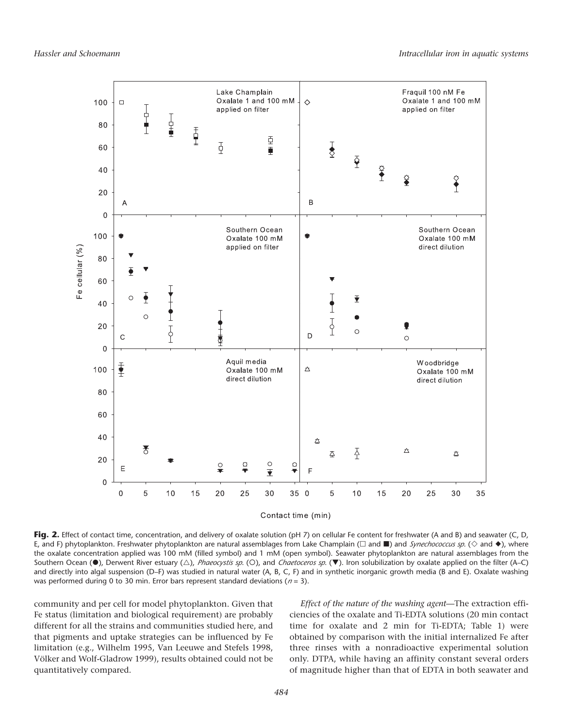

Contact time (min)

Fig. 2. Effect of contact time, concentration, and delivery of oxalate solution (pH 7) on cellular Fe content for freshwater (A and B) and seawater (C, D, E, and F) phytoplankton. Freshwater phytoplankton are natural assemblages from Lake Champlain ( $\Box$  and  $\Box$ ) and *Synechococcus sp*. ( $\diamond$  and  $\blacklozenge$ ), where the oxalate concentration applied was 100 mM (filled symbol) and 1 mM (open symbol). Seawater phytoplankton are natural assemblages from the Southern Ocean (<sup>\*</sup>), Derwent River estuary ( $\triangle$ ), *Phaeocystis sp*. (O), and *Chaetoceros sp*. ( $\blacktriangledown$ ). Iron solubilization by oxalate applied on the filter (A–C) and directly into algal suspension (D–F) was studied in natural water (A, B, C, F) and in synthetic inorganic growth media (B and E). Oxalate washing was performed during 0 to 30 min. Error bars represent standard deviations (*<sup>n</sup>* = 3).

community and per cell for model phytoplankton. Given that Fe status (limitation and biological requirement) are probably different for all the strains and communities studied here, and that pigments and uptake strategies can be influenced by Fe limitation (e.g., Wilhelm 1995, Van Leeuwe and Stefels 1998, Völker and Wolf-Gladrow 1999), results obtained could not be quantitatively compared.

*Effect of the nature of the washing agent—*The extraction efficiencies of the oxalate and Ti-EDTA solutions (20 min contact time for oxalate and 2 min for Ti-EDTA; Table 1) were obtained by comparison with the initial internalized Fe after three rinses with a nonradioactive experimental solution only. DTPA, while having an affinity constant several orders of magnitude higher than that of EDTA in both seawater and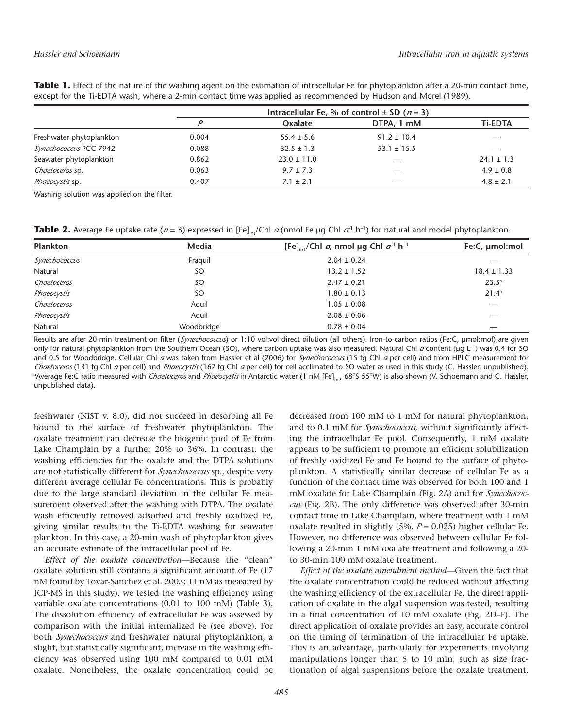|                          | Intracellular Fe, % of control $\pm$ SD ( <i>n</i> = 3) |                 |                 |                |
|--------------------------|---------------------------------------------------------|-----------------|-----------------|----------------|
|                          |                                                         | Oxalate         | DTPA, 1 mM      | <b>Ti-EDTA</b> |
| Freshwater phytoplankton | 0.004                                                   | $55.4 \pm 5.6$  | $91.2 \pm 10.4$ |                |
| Synechococcus PCC 7942   | 0.088                                                   | $32.5 \pm 1.3$  | $53.1 \pm 15.5$ |                |
| Seawater phytoplankton   | 0.862                                                   | $23.0 \pm 11.0$ |                 | $24.1 \pm 1.3$ |
| Chaetoceros sp.          | 0.063                                                   | $9.7 \pm 7.3$   |                 | $4.9 \pm 0.8$  |
| Phaeocystis sp.          | 0.407                                                   | $7.1 \pm 2.1$   | _               | $4.8 \pm 2.1$  |

Table 1. Effect of the nature of the washing agent on the estimation of intracellular Fe for phytoplankton after a 20-min contact time, except for the Ti-EDTA wash, where a 2-min contact time was applied as recommended by Hudson and Morel (1989).

Washing solution was applied on the filter.

**Table 2.** Average Fe uptake rate ( $n = 3$ ) expressed in [Fe]<sub>in</sub>/Chl *a* (nmol Fe µg Chl  $\sigma$ <sup>1</sup> h<sup>-1</sup>) for natural and model phytoplankton.

| <b>Plankton</b> | Media      | [Fe] <sub>int</sub> /Chl <i>a</i> , nmol µg Chl $\sigma$ <sup>1</sup> h <sup>-1</sup> | Fe:C, µmol:mol  |
|-----------------|------------|---------------------------------------------------------------------------------------|-----------------|
| Synechococcus   | Fraguil    | $2.04 \pm 0.24$                                                                       |                 |
| Natural         | SO         | $13.2 \pm 1.52$                                                                       | $18.4 \pm 1.33$ |
| Chaetoceros     | SΟ         | $2.47 \pm 0.21$                                                                       | $23.5^{\circ}$  |
| Phaeocystis     | SΟ         | $1.80 \pm 0.13$                                                                       | $21.4^a$        |
| Chaetoceros     | Aquil      | $1.05 \pm 0.08$                                                                       |                 |
| Phaeocystis     | Aquil      | $2.08 \pm 0.06$                                                                       |                 |
| Natural         | Woodbridge | $0.78 \pm 0.04$                                                                       | _               |

Results are after 20-min treatment on filter (*Synechococcus*) or 1:10 vol:vol direct dilution (all others). Iron-to-carbon ratios (Fe:C, µmol:mol) are given only for natural phytoplankton from the Southern Ocean (SO), where carbon uptake was also measured. Natural Chl *a* content (µg L<sup>-1</sup>) was 0.4 for SO and 0.5 for Woodbridge. Cellular Chl *<sup>a</sup>* was taken from Hassler et al (2006) for *Synechococcus* (15 fg Chl *<sup>a</sup>* per cell) and from HPLC measurement for *Chaetoceros* (131 fg Chl *<sup>a</sup>* per cell) and *Phaeocystis* (167 fg Chl *<sup>a</sup>* per cell) for cell acclimated to SO water as used in this study (C. Hassler, unpublished). <sup>a</sup>Average Fe:C ratio measured with *Chaetoceros* and *Phaeocystis* in Antarctic water (1 nM [Fe]<sub>tot</sub>, 68°S 55°W) is also shown (V. Schoemann and C. Hassler, unpublished data).

freshwater (NIST v. 8.0), did not succeed in desorbing all Fe bound to the surface of freshwater phytoplankton. The oxalate treatment can decrease the biogenic pool of Fe from Lake Champlain by a further 20% to 36%. In contrast, the washing efficiencies for the oxalate and the DTPA solutions are not statistically different for *Synechococcus* sp., despite very different average cellular Fe concentrations. This is probably due to the large standard deviation in the cellular Fe measurement observed after the washing with DTPA. The oxalate wash efficiently removed adsorbed and freshly oxidized Fe, giving similar results to the Ti-EDTA washing for seawater plankton. In this case, a 20-min wash of phytoplankton gives an accurate estimate of the intracellular pool of Fe.

*Effect of the oxalate concentration—*Because the "clean" oxalate solution still contains a significant amount of Fe (17 nM found by Tovar-Sanchez et al. 2003; 11 nM as measured by ICP-MS in this study), we tested the washing efficiency using variable oxalate concentrations (0.01 to 100 mM) (Table 3). The dissolution efficiency of extracellular Fe was assessed by comparison with the initial internalized Fe (see above). For both *Synechococcus* and freshwater natural phytoplankton, a slight, but statistically significant, increase in the washing efficiency was observed using 100 mM compared to 0.01 mM oxalate. Nonetheless, the oxalate concentration could be decreased from 100 mM to 1 mM for natural phytoplankton, and to 0.1 mM for *Synechococcus,* without significantly affecting the intracellular Fe pool. Consequently, 1 mM oxalate appears to be sufficient to promote an efficient solubilization of freshly oxidized Fe and Fe bound to the surface of phytoplankton. A statistically similar decrease of cellular Fe as a function of the contact time was observed for both 100 and 1 mM oxalate for Lake Champlain (Fig. 2A) and for *Synechococcus* (Fig. 2B). The only difference was observed after 30-min contact time in Lake Champlain, where treatment with 1 mM oxalate resulted in slightly (5%, *<sup>P</sup>* = 0.025) higher cellular Fe. However, no difference was observed between cellular Fe following a 20-min 1 mM oxalate treatment and following a 20 to 30-min 100 mM oxalate treatment.

*Effect of the oxalate amendment method—*Given the fact that the oxalate concentration could be reduced without affecting the washing efficiency of the extracellular Fe, the direct application of oxalate in the algal suspension was tested, resulting in a final concentration of 10 mM oxalate (Fig. 2D–F). The direct application of oxalate provides an easy, accurate control on the timing of termination of the intracellular Fe uptake. This is an advantage, particularly for experiments involving manipulations longer than 5 to 10 min, such as size fractionation of algal suspensions before the oxalate treatment.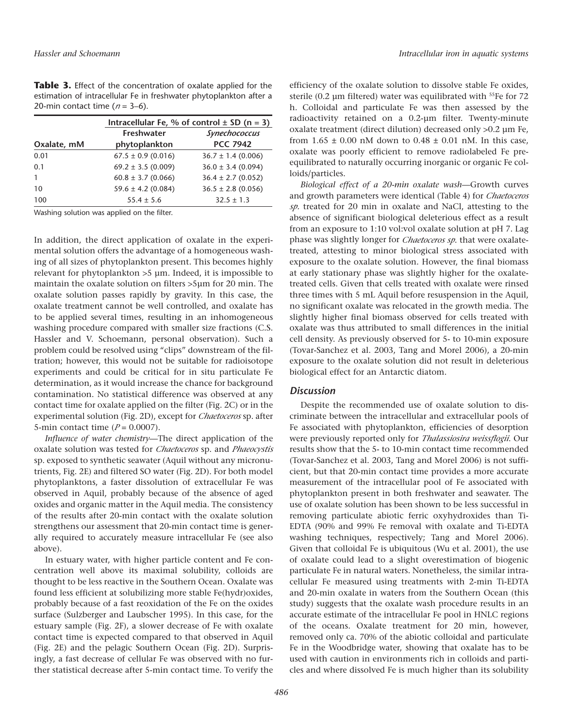| Table 3. Effect of the concentration of oxalate applied for the    |
|--------------------------------------------------------------------|
| estimation of intracellular Fe in freshwater phytoplankton after a |
| 20-min contact time ( $n = 3-6$ ).                                 |

|             | Intracellular Fe, % of control $\pm$ SD (n = 3) |                        |  |  |
|-------------|-------------------------------------------------|------------------------|--|--|
|             | <b>Freshwater</b>                               | Synechococcus          |  |  |
| Oxalate, mM | phytoplankton                                   | <b>PCC 7942</b>        |  |  |
| 0.01        | $67.5 \pm 0.9$ (0.016)                          | $36.7 \pm 1.4$ (0.006) |  |  |
| 0.1         | $69.2 \pm 3.5$ (0.009)                          | $36.0 \pm 3.4$ (0.094) |  |  |
|             | $60.8 \pm 3.7$ (0.066)                          | $36.4 \pm 2.7$ (0.052) |  |  |
| 10          | $59.6 \pm 4.2$ (0.084)                          | $36.5 \pm 2.8$ (0.056) |  |  |
| 100         | $55.4 \pm 5.6$                                  | $32.5 \pm 1.3$         |  |  |

Washing solution was applied on the filter.

In addition, the direct application of oxalate in the experimental solution offers the advantage of a homogeneous washing of all sizes of phytoplankton present. This becomes highly relevant for phytoplankton >5 µm. Indeed, it is impossible to maintain the oxalate solution on filters >5µm for 20 min. The oxalate solution passes rapidly by gravity. In this case, the oxalate treatment cannot be well controlled, and oxalate has to be applied several times, resulting in an inhomogeneous washing procedure compared with smaller size fractions (C.S. Hassler and V. Schoemann, personal observation). Such a problem could be resolved using "clips" downstream of the filtration; however, this would not be suitable for radioisotope experiments and could be critical for in situ particulate Fe determination, as it would increase the chance for background contamination. No statistical difference was observed at any contact time for oxalate applied on the filter (Fig. 2C) or in the experimental solution (Fig. 2D), except for *Chaetoceros* sp. after 5-min contact time (*<sup>P</sup>* = 0.0007).

*Influence of water chemistry—*The direct application of the oxalate solution was tested for *Chaetoceros* sp. and *Phaeocystis* sp. exposed to synthetic seawater (Aquil without any micronutrients, Fig. 2E) and filtered SO water (Fig. 2D). For both model phytoplanktons, a faster dissolution of extracellular Fe was observed in Aquil, probably because of the absence of aged oxides and organic matter in the Aquil media. The consistency of the results after 20-min contact with the oxalate solution strengthens our assessment that 20-min contact time is generally required to accurately measure intracellular Fe (see also above).

In estuary water, with higher particle content and Fe concentration well above its maximal solubility, colloids are thought to be less reactive in the Southern Ocean. Oxalate was found less efficient at solubilizing more stable Fe(hydr)oxides, probably because of a fast reoxidation of the Fe on the oxides surface (Sulzberger and Laubscher 1995). In this case, for the estuary sample (Fig. 2F), a slower decrease of Fe with oxalate contact time is expected compared to that observed in Aquil (Fig. 2E) and the pelagic Southern Ocean (Fig. 2D). Surprisingly, a fast decrease of cellular Fe was observed with no further statistical decrease after 5-min contact time. To verify the

efficiency of the oxalate solution to dissolve stable Fe oxides, sterile (0.2 µm filtered) water was equilibrated with <sup>55</sup>Fe for 72 h. Colloidal and particulate Fe was then assessed by the radioactivity retained on a 0.2-µm filter. Twenty-minute oxalate treatment (direct dilution) decreased only >0.2 µm Fe, from  $1.65 \pm 0.00$  nM down to  $0.48 \pm 0.01$  nM. In this case, oxalate was poorly efficient to remove radiolabeled Fe preequilibrated to naturally occurring inorganic or organic Fe colloids/particles.

*Biological effect of a 20-min oxalate wash—*Growth curves and growth parameters were identical (Table 4) for *Chaetoceros sp.* treated for 20 min in oxalate and NaCl, attesting to the absence of significant biological deleterious effect as a result from an exposure to 1:10 vol:vol oxalate solution at pH 7. Lag phase was slightly longer for *Chaetoceros sp*. that were oxalatetreated, attesting to minor biological stress associated with exposure to the oxalate solution. However, the final biomass at early stationary phase was slightly higher for the oxalatetreated cells. Given that cells treated with oxalate were rinsed three times with 5 mL Aquil before resuspension in the Aquil, no significant oxalate was relocated in the growth media. The slightly higher final biomass observed for cells treated with oxalate was thus attributed to small differences in the initial cell density. As previously observed for 5- to 10-min exposure (Tovar-Sanchez et al. 2003, Tang and Morel 2006), a 20-min exposure to the oxalate solution did not result in deleterious biological effect for an Antarctic diatom.

## *Discussion*

Despite the recommended use of oxalate solution to discriminate between the intracellular and extracellular pools of Fe associated with phytoplankton, efficiencies of desorption were previously reported only for *Thalassiosira weissflogii*. Our results show that the 5- to 10-min contact time recommended (Tovar-Sanchez et al. 2003, Tang and Morel 2006) is not sufficient, but that 20-min contact time provides a more accurate measurement of the intracellular pool of Fe associated with phytoplankton present in both freshwater and seawater. The use of oxalate solution has been shown to be less successful in removing particulate abiotic ferric oxyhydroxides than Ti-EDTA (90% and 99% Fe removal with oxalate and Ti-EDTA washing techniques, respectively; Tang and Morel 2006). Given that colloidal Fe is ubiquitous (Wu et al. 2001), the use of oxalate could lead to a slight overestimation of biogenic particulate Fe in natural waters. Nonetheless, the similar intracellular Fe measured using treatments with 2-min Ti-EDTA and 20-min oxalate in waters from the Southern Ocean (this study) suggests that the oxalate wash procedure results in an accurate estimate of the intracellular Fe pool in HNLC regions of the oceans. Oxalate treatment for 20 min, however, removed only ca. 70% of the abiotic colloidal and particulate Fe in the Woodbridge water, showing that oxalate has to be used with caution in environments rich in colloids and particles and where dissolved Fe is much higher than its solubility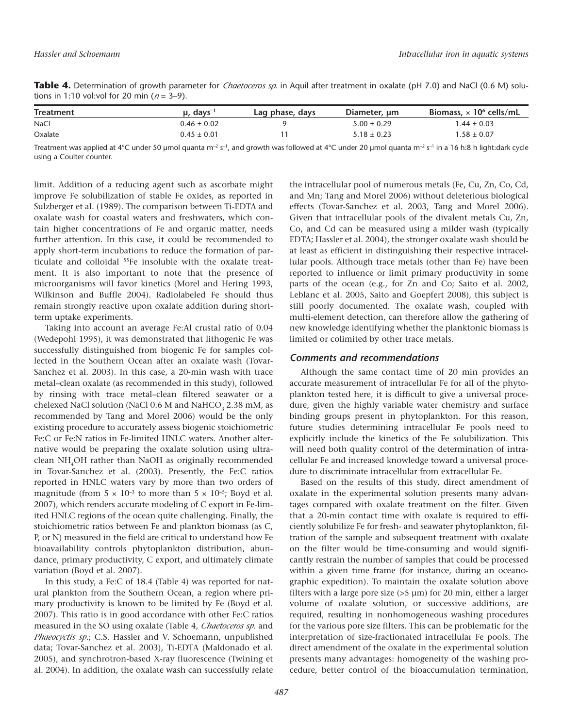**Table 4.** Determination of growth parameter for *Chaetoceros sp.* in Aquil after treatment in oxalate (pH 7.0) and NaCl (0.6 M) solutions in 1:10 vol:vol for 20 min (*<sup>n</sup>* = 3–9).

| <b>Treatment</b> | $\mu$ , days <sup>-1</sup> | Lag phase, days | Diameter, um    | Biomass. $\times$ 10 <sup>6</sup> cells/mL |
|------------------|----------------------------|-----------------|-----------------|--------------------------------------------|
| <b>NaCl</b>      | $0.46 \pm 0.02$            |                 | $5.00 \pm 0.29$ | $1.44 \pm 0.03$                            |
| Oxalate          | $0.45 \pm 0.01$            |                 | $5.18 \pm 0.23$ | $1.58 \pm 0.07$                            |

Treatment was applied at 4°C under 50 µmol quanta m<sup>-2</sup> s<sup>-1</sup>, and growth was followed at 4°C under 20 µmol quanta m<sup>-2</sup> s<sup>-1</sup> in a 16 h:8 h light:dark cycle using a Coulter counter.

limit. Addition of a reducing agent such as ascorbate might improve Fe solubilization of stable Fe oxides, as reported in Sulzberger et al. (1989). The comparison between Ti-EDTA and oxalate wash for coastal waters and freshwaters, which contain higher concentrations of Fe and organic matter, needs further attention. In this case, it could be recommended to apply short-term incubations to reduce the formation of particulate and colloidal 55Fe insoluble with the oxalate treatment. It is also important to note that the presence of microorganisms will favor kinetics (Morel and Hering 1993, Wilkinson and Buffle 2004). Radiolabeled Fe should thus remain strongly reactive upon oxalate addition during shortterm uptake experiments.

Taking into account an average Fe:Al crustal ratio of 0.04 (Wedepohl 1995), it was demonstrated that lithogenic Fe was successfully distinguished from biogenic Fe for samples collected in the Southern Ocean after an oxalate wash (Tovar-Sanchez et al. 2003). In this case, a 20-min wash with trace metal–clean oxalate (as recommended in this study), followed by rinsing with trace metal–clean filtered seawater or a chelexed NaCl solution (NaCl 0.6 M and NaHCO<sub>3</sub> 2.38 mM, as recommended by Tang and Morel 2006) would be the only existing procedure to accurately assess biogenic stoichiometric Fe:C or Fe:N ratios in Fe-limited HNLC waters. Another alternative would be preparing the oxalate solution using ultraclean NH4OH rather than NaOH as originally recommended in Tovar-Sanchez et al. (2003). Presently, the Fe:C ratios reported in HNLC waters vary by more than two orders of magnitude (from  $5 \times 10^{-3}$  to more than  $5 \times 10^{-5}$ ; Boyd et al. 2007), which renders accurate modeling of C export in Fe-limited HNLC regions of the ocean quite challenging. Finally, the stoichiometric ratios between Fe and plankton biomass (as C, P, or N) measured in the field are critical to understand how Fe bioavailability controls phytoplankton distribution, abundance, primary productivity, C export, and ultimately climate variation (Boyd et al. 2007).

In this study, a Fe:C of 18.4 (Table 4) was reported for natural plankton from the Southern Ocean, a region where primary productivity is known to be limited by Fe (Boyd et al. 2007). This ratio is in good accordance with other Fe:C ratios measured in the SO using oxalate (Table 4, *Chaetoceros sp*. and *Phaeocyctis sp*.; C.S. Hassler and V. Schoemann, unpublished data; Tovar-Sanchez et al. 2003), Ti-EDTA (Maldonado et al. 2005), and synchrotron-based X-ray fluorescence (Twining et al. 2004). In addition, the oxalate wash can successfully relate the intracellular pool of numerous metals (Fe, Cu, Zn, Co, Cd, and Mn; Tang and Morel 2006) without deleterious biological effects (Tovar-Sanchez et al. 2003, Tang and Morel 2006). Given that intracellular pools of the divalent metals Cu, Zn, Co, and Cd can be measured using a milder wash (typically EDTA; Hassler et al. 2004), the stronger oxalate wash should be at least as efficient in distinguishing their respective intracellular pools. Although trace metals (other than Fe) have been reported to influence or limit primary productivity in some parts of the ocean (e.g., for Zn and Co; Saito et al. 2002, Leblanc et al. 2005, Saito and Goepfert 2008), this subject is still poorly documented. The oxalate wash, coupled with multi-element detection, can therefore allow the gathering of new knowledge identifying whether the planktonic biomass is limited or colimited by other trace metals.

## *Comments and recommendations*

Although the same contact time of 20 min provides an accurate measurement of intracellular Fe for all of the phytoplankton tested here, it is difficult to give a universal procedure, given the highly variable water chemistry and surface binding groups present in phytoplankton. For this reason, future studies determining intracellular Fe pools need to explicitly include the kinetics of the Fe solubilization. This will need both quality control of the determination of intracellular Fe and increased knowledge toward a universal procedure to discriminate intracellular from extracellular Fe.

Based on the results of this study, direct amendment of oxalate in the experimental solution presents many advantages compared with oxalate treatment on the filter. Given that a 20-min contact time with oxalate is required to efficiently solubilize Fe for fresh- and seawater phytoplankton, filtration of the sample and subsequent treatment with oxalate on the filter would be time-consuming and would significantly restrain the number of samples that could be processed within a given time frame (for instance, during an oceanographic expedition). To maintain the oxalate solution above filters with a large pore size (>5 µm) for 20 min, either a larger volume of oxalate solution, or successive additions, are required, resulting in nonhomogeneous washing procedures for the various pore size filters. This can be problematic for the interpretation of size-fractionated intracellular Fe pools. The direct amendment of the oxalate in the experimental solution presents many advantages: homogeneity of the washing procedure, better control of the bioaccumulation termination,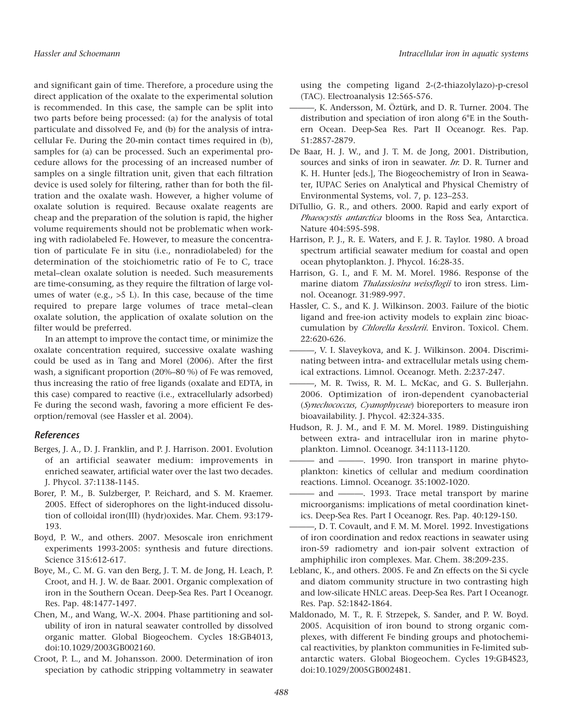and significant gain of time. Therefore, a procedure using the direct application of the oxalate to the experimental solution is recommended. In this case, the sample can be split into two parts before being processed: (a) for the analysis of total particulate and dissolved Fe, and (b) for the analysis of intracellular Fe. During the 20-min contact times required in (b), samples for (a) can be processed. Such an experimental procedure allows for the processing of an increased number of samples on a single filtration unit, given that each filtration device is used solely for filtering, rather than for both the filtration and the oxalate wash. However, a higher volume of oxalate solution is required. Because oxalate reagents are cheap and the preparation of the solution is rapid, the higher volume requirements should not be problematic when working with radiolabeled Fe. However, to measure the concentration of particulate Fe in situ (i.e., nonradiolabeled) for the determination of the stoichiometric ratio of Fe to C, trace metal–clean oxalate solution is needed. Such measurements are time-consuming, as they require the filtration of large volumes of water (e.g., >5 L). In this case, because of the time required to prepare large volumes of trace metal–clean oxalate solution, the application of oxalate solution on the filter would be preferred.

In an attempt to improve the contact time, or minimize the oxalate concentration required, successive oxalate washing could be used as in Tang and Morel (2006). After the first wash, a significant proportion (20%–80 %) of Fe was removed, thus increasing the ratio of free ligands (oxalate and EDTA, in this case) compared to reactive (i.e., extracellularly adsorbed) Fe during the second wash, favoring a more efficient Fe desorption/removal (see Hassler et al. 2004).

## *References*

- Berges, J. A., D. J. Franklin, and P. J. Harrison. 2001. Evolution of an artificial seawater medium: improvements in enriched seawater, artificial water over the last two decades. J. Phycol. 37:1138-1145.
- Borer, P. M., B. Sulzberger, P. Reichard, and S. M. Kraemer. 2005. Effect of siderophores on the light-induced dissolution of colloidal iron(III) (hydr)oxides. Mar. Chem. 93:179- 193.
- Boyd, P. W., and others. 2007. Mesoscale iron enrichment experiments 1993-2005: synthesis and future directions. Science 315:612-617.
- Boye, M., C. M. G. van den Berg, J. T. M. de Jong, H. Leach, P. Croot, and H. J. W. de Baar. 2001. Organic complexation of iron in the Southern Ocean. Deep-Sea Res. Part I Oceanogr. Res. Pap. 48:1477-1497.
- Chen, M., and Wang, W.-X. 2004. Phase partitioning and solubility of iron in natural seawater controlled by dissolved organic matter. Global Biogeochem. Cycles 18:GB4013, doi:10.1029/2003GB002160.
- Croot, P. L., and M. Johansson. 2000. Determination of iron speciation by cathodic stripping voltammetry in seawater

using the competing ligand 2-(2-thiazolylazo)-p-cresol (TAC). Electroanalysis 12:565-576.

- ———, K. Andersson, M. Öztürk, and D. R. Turner. 2004. The distribution and speciation of iron along 6°E in the Southern Ocean. Deep-Sea Res. Part II Oceanogr. Res. Pap. 51:2857-2879.
- De Baar, H. J. W., and J. T. M. de Jong, 2001. Distribution, sources and sinks of iron in seawater. *In*: D. R. Turner and K. H. Hunter [eds.], The Biogeochemistry of Iron in Seawater, IUPAC Series on Analytical and Physical Chemistry of Environmental Systems, vol. 7, p. 123–253.
- DiTullio, G. R., and others. 2000. Rapid and early export of *Phaeocystis antarctica* blooms in the Ross Sea, Antarctica. Nature 404:595-598.
- Harrison, P. J., R. E. Waters, and F. J. R. Taylor. 1980. A broad spectrum artificial seawater medium for coastal and open ocean phytoplankton. J. Phycol. 16:28-35.
- Harrison, G. I., and F. M. M. Morel. 1986. Response of the marine diatom *Thalassiosira weissflogii* to iron stress. Limnol. Oceanogr. 31:989-997.
- Hassler, C. S., and K. J. Wilkinson. 2003. Failure of the biotic ligand and free-ion activity models to explain zinc bioaccumulation by *Chlorella kesslerii*. Environ. Toxicol. Chem. 22:620-626.
- ———, V. I. Slaveykova, and K. J. Wilkinson. 2004. Discriminating between intra- and extracellular metals using chemical extractions. Limnol. Oceanogr. Meth. 2:237-247.
- ———, M. R. Twiss, R. M. L. McKac, and G. S. Bullerjahn. 2006. Optimization of iron-dependent cyanobacterial (*Synechococcus*, *Cyanophyceae*) bioreporters to measure iron bioavailability. J. Phycol. 42:324-335.
- Hudson, R. J. M., and F. M. M. Morel. 1989. Distinguishing between extra- and intracellular iron in marine phytoplankton. Limnol. Oceanogr. 34:1113-1120.
- and ———. 1990. Iron transport in marine phytoplankton: kinetics of cellular and medium coordination reactions. Limnol. Oceanogr. 35:1002-1020.
- and ----- 1993. Trace metal transport by marine microorganisms: implications of metal coordination kinetics. Deep-Sea Res. Part I Oceanogr. Res. Pap. 40:129-150.
- ———, D. T. Covault, and F. M. M. Morel. 1992. Investigations of iron coordination and redox reactions in seawater using iron-59 radiometry and ion-pair solvent extraction of amphiphilic iron complexes. Mar. Chem. 38:209-235.
- Leblanc, K., and others. 2005. Fe and Zn effects on the Si cycle and diatom community structure in two contrasting high and low-silicate HNLC areas. Deep-Sea Res. Part I Oceanogr. Res. Pap. 52:1842-1864.
- Maldonado, M. T., R. F. Strzepek, S. Sander, and P. W. Boyd. 2005. Acquisition of iron bound to strong organic complexes, with different Fe binding groups and photochemical reactivities, by plankton communities in Fe-limited subantarctic waters. Global Biogeochem. Cycles 19:GB4S23, doi:10.1029/2005GB002481.